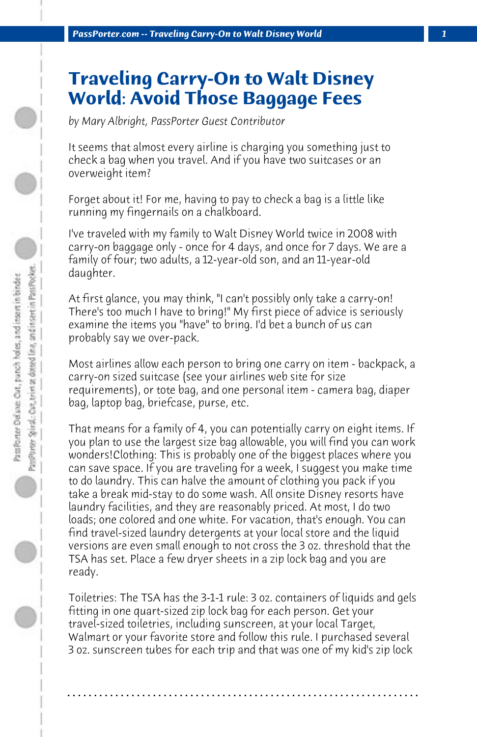## **Traveling Carry-On to Walt Disney World: Avoid Those Baggage Fees**

*by Mary Albright, PassPorter Guest Contributor*

It seems that almost every airline is charging you something just to check a bag when you travel. And if you have two suitcases or an overweight item?

Forget about it! For me, having to pay to check a bag is a little like running my fingernails on a chalkboard.

I've traveled with my family to Walt Disney World twice in 2008 with carry-on baggage only - once for 4 days, and once for 7 days. We are a family of four; two adults, a 12-year-old son, and an 11-year-old daughter.

At first glance, you may think, "I can't possibly only take a carry-on! There's too much I have to bring!" My first piece of advice is seriously examine the items you "have" to bring. I'd bet a bunch of us can probably say we over-pack.

Most airlines allow each person to bring one carry on item - backpack, a carry-on sized suitcase (see your airlines web site for size requirements), or tote bag, and one personal item - camera bag, diaper bag, laptop bag, briefcase, purse, etc.

That means for a family of 4, you can potentially carry on eight items. If you plan to use the largest size bag allowable, you will find you can work wonders!Clothing: This is probably one of the biggest places where you can save space. If you are traveling for a week, I suggest you make time to do laundry. This can halve the amount of clothing you pack if you take a break mid-stay to do some wash. All onsite Disney resorts have laundry facilities, and they are reasonably priced. At most, I do two loads; one colored and one white. For vacation, that's enough. You can find travel-sized laundry detergents at your local store and the liquid versions are even small enough to not cross the 3 oz. threshold that the TSA has set. Place a few dryer sheets in a zip lock bag and you are ready.

Toiletries: The TSA has the 3-1-1 rule: 3 oz. containers of liquids and gels fitting in one quart-sized zip lock bag for each person. Get your travel-sized toiletries, including sunscreen, at your local Target, Walmart or your favorite store and follow this rule. I purchased several 3 oz. sunscreen tubes for each trip and that was one of my kid's zip lock

**. . . . . . . . . . . . . . . . . . . . . . . . . . . . . . . . . . . . . . . . . . . . . . . . . . . . . . . . . . . . . . . . . .**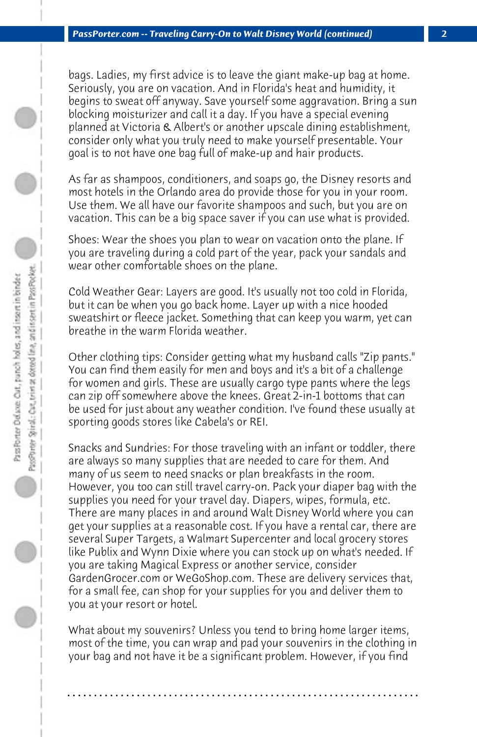bags. Ladies, my first advice is to leave the giant make-up bag at home. Seriously, you are on vacation. And in Florida's heat and humidity, it begins to sweat off anyway. Save yourself some aggravation. Bring a sun blocking moisturizer and call it a day. If you have a special evening planned at Victoria & Albert's or another upscale dining establishment, consider only what you truly need to make yourself presentable. Your goal is to not have one bag full of make-up and hair products.

As far as shampoos, conditioners, and soaps go, the Disney resorts and most hotels in the Orlando area do provide those for you in your room. Use them. We all have our favorite shampoos and such, but you are on vacation. This can be a big space saver if you can use what is provided.

Shoes: Wear the shoes you plan to wear on vacation onto the plane. If you are traveling during a cold part of the year, pack your sandals and wear other comfortable shoes on the plane.

Cold Weather Gear: Layers are good. It's usually not too cold in Florida, but it can be when you go back home. Layer up with a nice hooded sweatshirt or fleece jacket. Something that can keep you warm, yet can breathe in the warm Florida weather.

Other clothing tips: Consider getting what my husband calls "Zip pants." You can find them easily for men and boys and it's a bit of a challenge for women and girls. These are usually cargo type pants where the legs can zip off somewhere above the knees. Great 2-in-1 bottoms that can be used for just about any weather condition. I've found these usually at sporting goods stores like Cabela's or REI.

Snacks and Sundries: For those traveling with an infant or toddler, there are always so many supplies that are needed to care for them. And many of us seem to need snacks or plan breakfasts in the room. However, you too can still travel carry-on. Pack your diaper bag with the supplies you need for your travel day. Diapers, wipes, formula, etc. There are many places in and around Walt Disney World where you can get your supplies at a reasonable cost. If you have a rental car, there are several Super Targets, a Walmart Supercenter and local grocery stores like Publix and Wynn Dixie where you can stock up on what's needed. If you are taking Magical Express or another service, consider GardenGrocer.com or WeGoShop.com. These are delivery services that, for a small fee, can shop for your supplies for you and deliver them to you at your resort or hotel.

What about my souvenirs? Unless you tend to bring home larger items, most of the time, you can wrap and pad your souvenirs in the clothing in your bag and not have it be a significant problem. However, if you find

**. . . . . . . . . . . . . . . . . . . . . . . . . . . . . . . . . . . . . . . . . . . . . . . . . . . . . . . . . . . . . . . . . .**